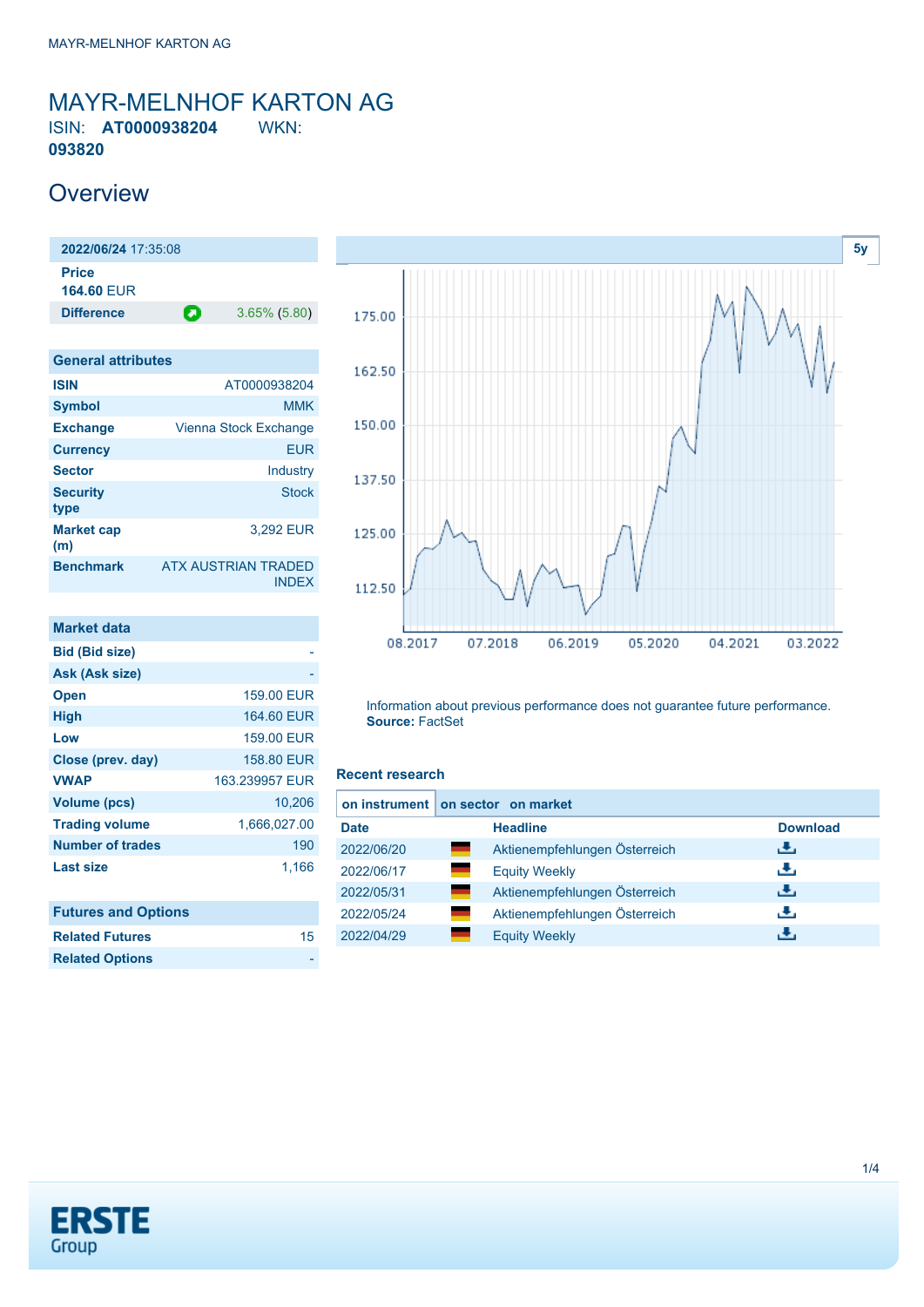### <span id="page-0-0"></span>MAYR-MELNHOF KARTON AG ISIN: **AT0000938204** WKN: **093820**

### **Overview**

**2022/06/24** 17:35:08 **Price 164.60** EUR **Difference a** 3.65% (5.80)

| <b>General attributes</b> |                                            |
|---------------------------|--------------------------------------------|
| <b>ISIN</b>               | AT0000938204                               |
| <b>Symbol</b>             | <b>MMK</b>                                 |
| <b>Exchange</b>           | Vienna Stock Exchange                      |
| <b>Currency</b>           | <b>EUR</b>                                 |
| <b>Sector</b>             | Industry                                   |
| <b>Security</b><br>type   | <b>Stock</b>                               |
| <b>Market cap</b><br>(m)  | 3.292 EUR                                  |
| <b>Benchmark</b>          | <b>ATX AUSTRIAN TRADED</b><br><b>INDEX</b> |

| <b>Market data</b>         |                |
|----------------------------|----------------|
| <b>Bid (Bid size)</b>      |                |
| Ask (Ask size)             |                |
| <b>Open</b>                | 159.00 EUR     |
| <b>High</b>                | 164.60 EUR     |
| Low                        | 159.00 EUR     |
| Close (prev. day)          | 158,80 EUR     |
| <b>VWAP</b>                | 163.239957 EUR |
| <b>Volume (pcs)</b>        | 10,206         |
| <b>Trading volume</b>      | 1,666,027.00   |
| <b>Number of trades</b>    | 190            |
| <b>Last size</b>           | 1,166          |
| <b>Futures and Options</b> |                |
| <b>Related Futures</b>     | 15             |
| <b>Related Options</b>     |                |



Information about previous performance does not guarantee future performance. **Source:** FactSet

#### **Recent research**

| <b>Headline</b>                        | <b>Download</b>                   |
|----------------------------------------|-----------------------------------|
| Aktienempfehlungen Österreich          | رالى                              |
| -<br><b>Equity Weekly</b>              | رنان                              |
| an an<br>Aktienempfehlungen Österreich | رالى                              |
| a.<br>Aktienempfehlungen Österreich    | رنان                              |
| <b>Equity Weekly</b>                   | æ,                                |
|                                        | on instrument on sector on market |

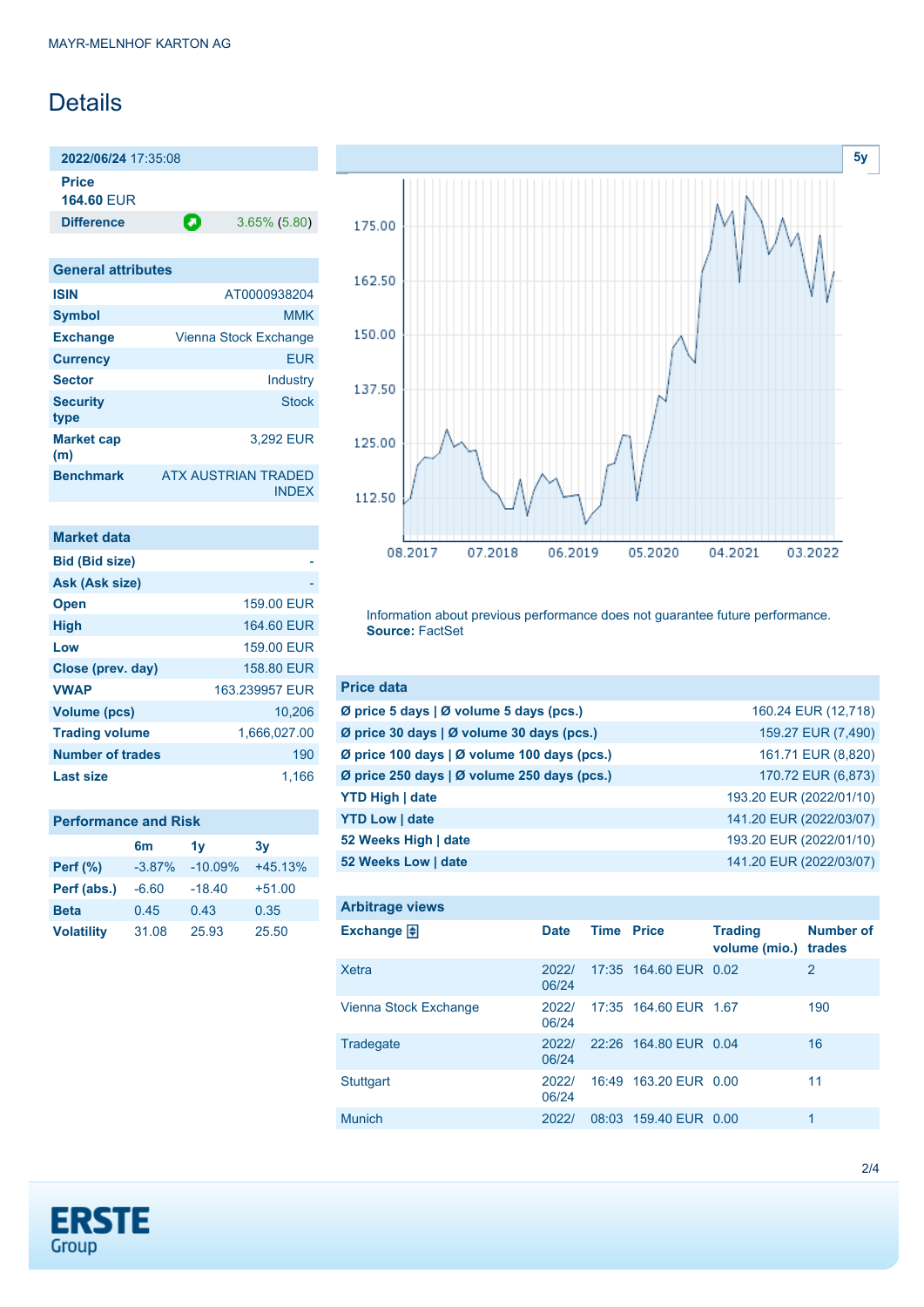## **Details**

**2022/06/24** 17:35:08 **Price**

**164.60** EUR

**Difference a** 3.65% (5.80)

| <b>General attributes</b> |                                            |
|---------------------------|--------------------------------------------|
| <b>ISIN</b>               | AT0000938204                               |
| <b>Symbol</b>             | MMK                                        |
| <b>Exchange</b>           | Vienna Stock Exchange                      |
| <b>Currency</b>           | EUR                                        |
| <b>Sector</b>             | Industry                                   |
| <b>Security</b><br>type   | <b>Stock</b>                               |
| <b>Market cap</b><br>(m)  | 3.292 EUR                                  |
| <b>Benchmark</b>          | <b>ATX AUSTRIAN TRADED</b><br><b>INDEX</b> |

| Market data             |                |
|-------------------------|----------------|
| <b>Bid (Bid size)</b>   |                |
| Ask (Ask size)          |                |
| <b>Open</b>             | 159.00 EUR     |
| <b>High</b>             | 164.60 EUR     |
| Low                     | 159.00 EUR     |
| Close (prev. day)       | 158,80 EUR     |
| <b>VWAP</b>             | 163.239957 EUR |
| Volume (pcs)            | 10,206         |
| <b>Trading volume</b>   | 1,666,027.00   |
| <b>Number of trades</b> | 190            |
| Last size               | 1.166          |

### **Performance and Risk**

|                   | 6 <sub>m</sub> | 1v        | 3v        |
|-------------------|----------------|-----------|-----------|
| <b>Perf</b> (%)   | $-3.87%$       | $-10.09%$ | $+45.13%$ |
| Perf (abs.)       | $-6.60$        | $-18.40$  | $+51.00$  |
| <b>Beta</b>       | 0.45           | 0.43      | 0.35      |
| <b>Volatility</b> | 31.08          | 25.93     | 25.50     |



Information about previous performance does not guarantee future performance. **Source:** FactSet

| <b>Price data</b>                           |                         |
|---------------------------------------------|-------------------------|
| Ø price 5 days   Ø volume 5 days (pcs.)     | 160.24 EUR (12,718)     |
| Ø price 30 days   Ø volume 30 days (pcs.)   | 159.27 EUR (7,490)      |
| Ø price 100 days   Ø volume 100 days (pcs.) | 161.71 EUR (8,820)      |
| Ø price 250 days   Ø volume 250 days (pcs.) | 170.72 EUR (6,873)      |
| <b>YTD High   date</b>                      | 193.20 EUR (2022/01/10) |
| <b>YTD Low   date</b>                       | 141.20 EUR (2022/03/07) |
| 52 Weeks High   date                        | 193.20 EUR (2022/01/10) |
| 52 Weeks Low   date                         | 141.20 EUR (2022/03/07) |

| <b>Arbitrage views</b> |                |                   |                       |                                 |                            |
|------------------------|----------------|-------------------|-----------------------|---------------------------------|----------------------------|
| Exchange $\Box$        | <b>Date</b>    | <b>Time Price</b> |                       | <b>Trading</b><br>volume (mio.) | <b>Number of</b><br>trades |
| <b>Xetra</b>           | 2022/<br>06/24 |                   | 17:35 164.60 EUR 0.02 |                                 | $\overline{2}$             |
| Vienna Stock Exchange  | 2022/<br>06/24 |                   | 17:35 164.60 EUR 1.67 |                                 | 190                        |
| Tradegate              | 2022/<br>06/24 |                   | 22:26 164.80 EUR 0.04 |                                 | 16                         |
| <b>Stuttgart</b>       | 2022/<br>06/24 |                   | 16:49 163.20 EUR 0.00 |                                 | 11                         |
| <b>Munich</b>          | 2022/          |                   | 08:03 159.40 EUR 0.00 |                                 | 1                          |

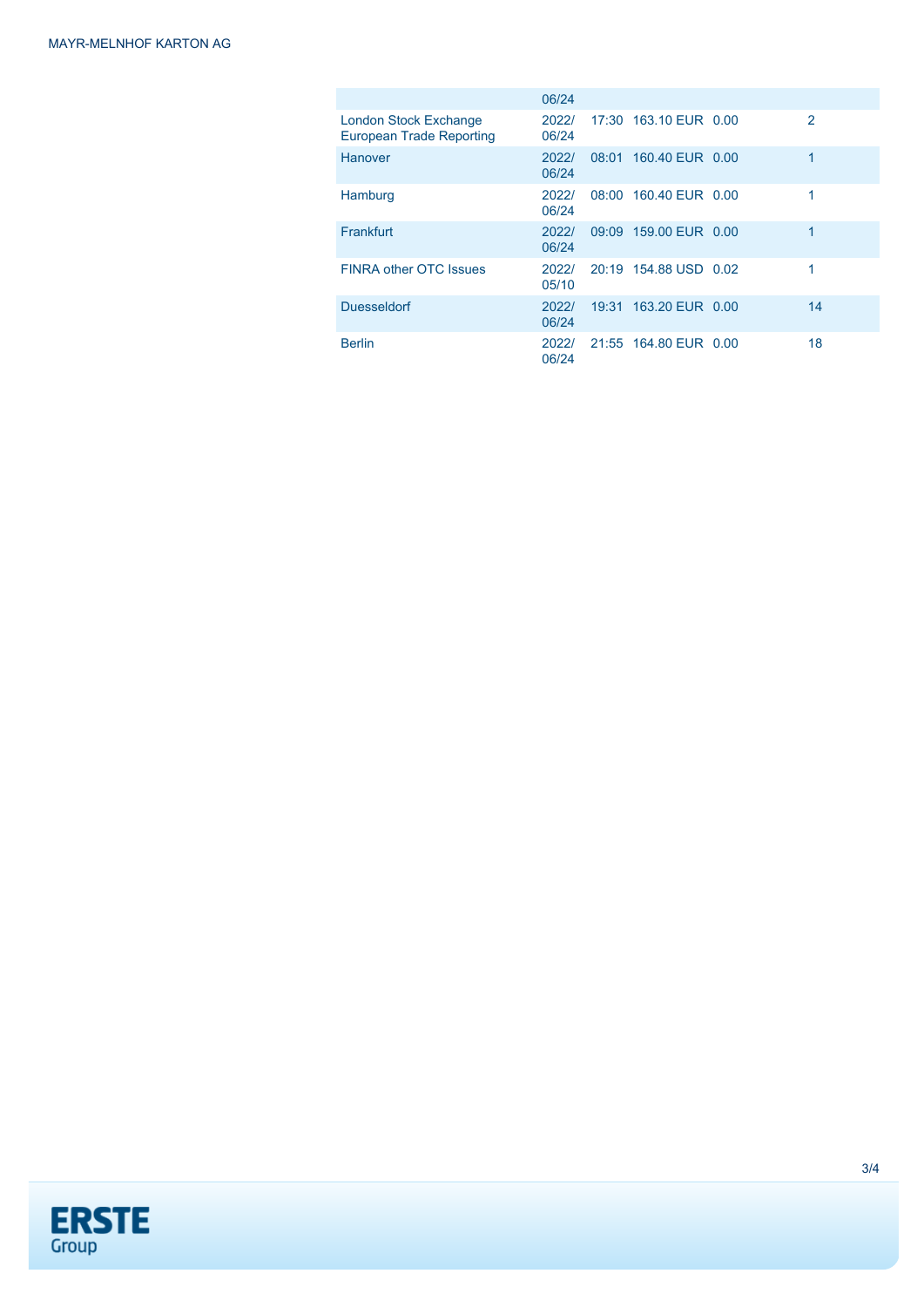|                                                          | 06/24          |                       |               |
|----------------------------------------------------------|----------------|-----------------------|---------------|
| <b>London Stock Exchange</b><br>European Trade Reporting | 2022/<br>06/24 | 17:30 163.10 EUR 0.00 | $\mathcal{P}$ |
| Hanover                                                  | 2022/<br>06/24 | 08:01 160.40 EUR 0.00 | 1             |
| Hamburg                                                  | 2022/<br>06/24 | 08:00 160.40 EUR 0.00 | 1             |
| Frankfurt                                                | 2022/<br>06/24 | 09:09 159.00 EUR 0.00 | 1             |
| <b>FINRA other OTC Issues</b>                            | 2022/<br>05/10 | 20:19 154.88 USD 0.02 | 1             |
| <b>Duesseldorf</b>                                       | 2022/<br>06/24 | 19:31 163.20 EUR 0.00 | 14            |
| <b>Berlin</b>                                            | 2022/<br>06/24 | 21:55 164.80 EUR 0.00 | 18            |